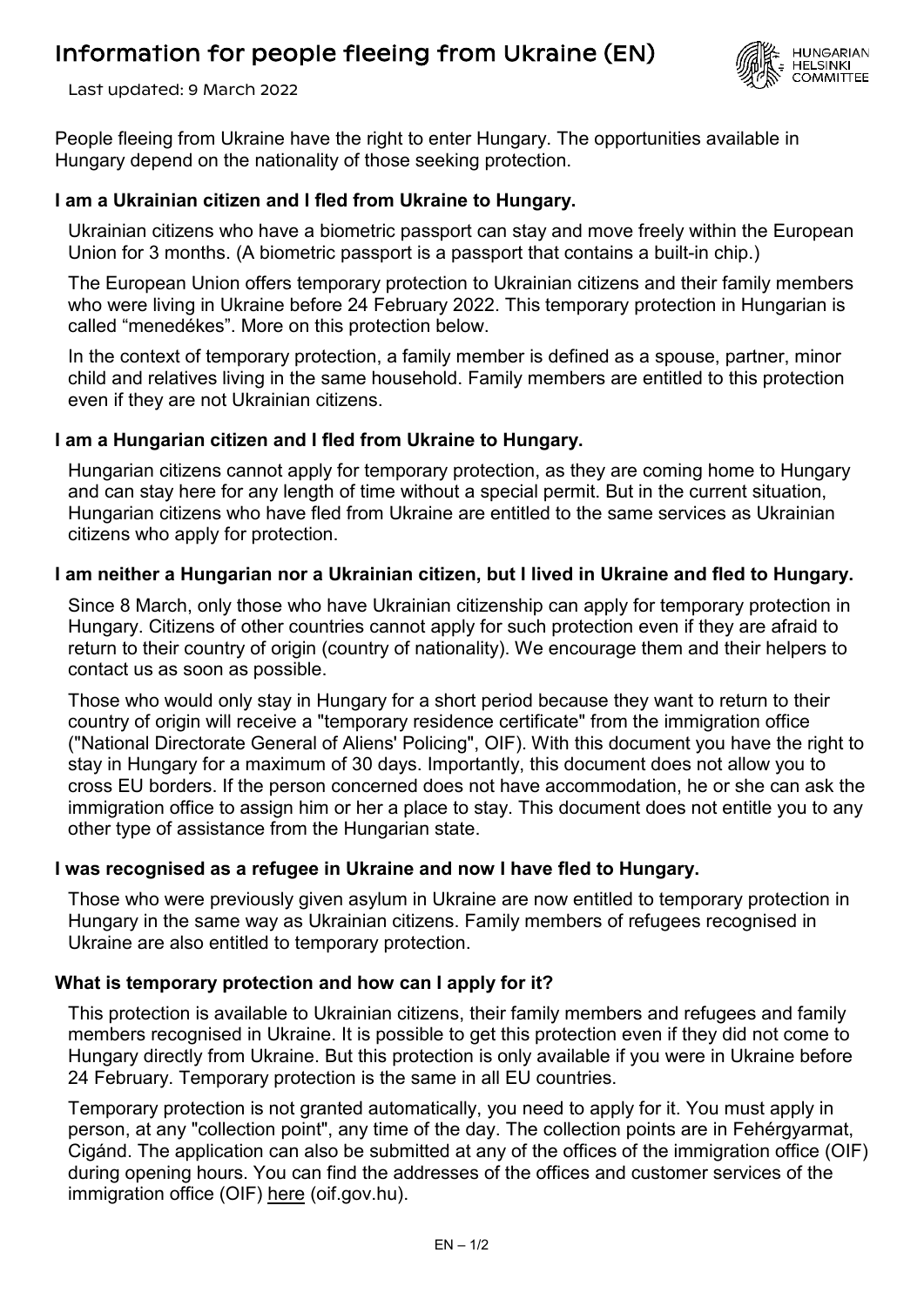# Information for people fleeing from Ukraine (EN)



Last updated: 9 March 2022

People fleeing from Ukraine have the right to enter Hungary. The opportunities available in Hungary depend on the nationality of those seeking protection.

### **I am a Ukrainian citizen and I fled from Ukraine to Hungary.**

Ukrainian citizens who have a biometric passport can stay and move freely within the European Union for 3 months. (A biometric passport is a passport that contains a built-in chip.)

The European Union offers temporary protection to Ukrainian citizens and their family members who were living in Ukraine before 24 February 2022. This temporary protection in Hungarian is called "menedékes". More on this protection below.

In the context of temporary protection, a family member is defined as a spouse, partner, minor child and relatives living in the same household. Family members are entitled to this protection even if they are not Ukrainian citizens.

#### **I am a Hungarian citizen and I fled from Ukraine to Hungary.**

Hungarian citizens cannot apply for temporary protection, as they are coming home to Hungary and can stay here for any length of time without a special permit. But in the current situation, Hungarian citizens who have fled from Ukraine are entitled to the same services as Ukrainian citizens who apply for protection.

#### **I am neither a Hungarian nor a Ukrainian citizen, but I lived in Ukraine and fled to Hungary.**

Since 8 March, only those who have Ukrainian citizenship can apply for temporary protection in Hungary. Citizens of other countries cannot apply for such protection even if they are afraid to return to their country of origin (country of nationality). We encourage them and their helpers to contact us as soon as possible.

Those who would only stay in Hungary for a short period because they want to return to their country of origin will receive a "temporary residence certificate" from the immigration office ("National Directorate General of Aliens' Policing", OIF). With this document you have the right to stay in Hungary for a maximum of 30 days. Importantly, this document does not allow you to cross EU borders. If the person concerned does not have accommodation, he or she can ask the immigration office to assign him or her a place to stay. This document does not entitle you to any other type of assistance from the Hungarian state.

## **I was recognised as a refugee in Ukraine and now I have fled to Hungary.**

Those who were previously given asylum in Ukraine are now entitled to temporary protection in Hungary in the same way as Ukrainian citizens. Family members of refugees recognised in Ukraine are also entitled to temporary protection.

## **What is temporary protection and how can I apply for it?**

This protection is available to Ukrainian citizens, their family members and refugees and family members recognised in Ukraine. It is possible to get this protection even if they did not come to Hungary directly from Ukraine. But this protection is only available if you were in Ukraine before 24 February. Temporary protection is the same in all EU countries.

Temporary protection is not granted automatically, you need to apply for it. You must apply in person, at any "collection point", any time of the day. The collection points are in Fehérgyarmat, Cigánd. The application can also be submitted at any of the offices of the immigration office (OIF) during opening hours. You can find the addresses of the offices and customer services of the immigration office (OIF) [here](http://oif.gov.hu/index.php?lang=hu) (oif.gov.hu).